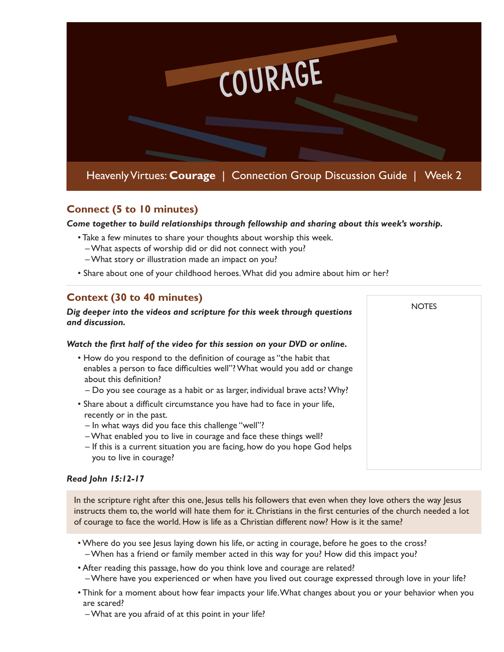

## **Connect (5 to 10 minutes)**

*Come together to build relationships through fellowship and sharing about this week's worship.* 

**NOTES** 

- Take a few minutes to share your thoughts about worship this week.
	- What aspects of worship did or did not connect with you?
	- What story or illustration made an impact on you?
- Share about one of your childhood heroes. What did you admire about him or her?

## **Context (30 to 40 minutes)**

#### *Dig deeper into the videos and scripture for this week through questions and discussion.*

#### *Watch the first half of the video for this session on your DVD or online.*

- How do you respond to the definition of courage as "the habit that enables a person to face difficulties well"? What would you add or change about this definition?
	- Do you see courage as a habit or as larger, individual brave acts? Why?
- Share about a difficult circumstance you have had to face in your life, recently or in the past.
	- In what ways did you face this challenge "well"?
	- What enabled you to live in courage and face these things well?
	- If this is a current situation you are facing, how do you hope God helps you to live in courage?

#### *Read John 15:12-17*

In the scripture right after this one, Jesus tells his followers that even when they love others the way Jesus instructs them to, the world will hate them for it. Christians in the first centuries of the church needed a lot of courage to face the world. How is life as a Christian different now? How is it the same?

- Where do you see Jesus laying down his life, or acting in courage, before he goes to the cross? – When has a friend or family member acted in this way for you? How did this impact you?
- After reading this passage, how do you think love and courage are related?
	- Where have you experienced or when have you lived out courage expressed through love in your life?
- Think for a moment about how fear impacts your life. What changes about you or your behavior when you are scared?

– What are you afraid of at this point in your life?